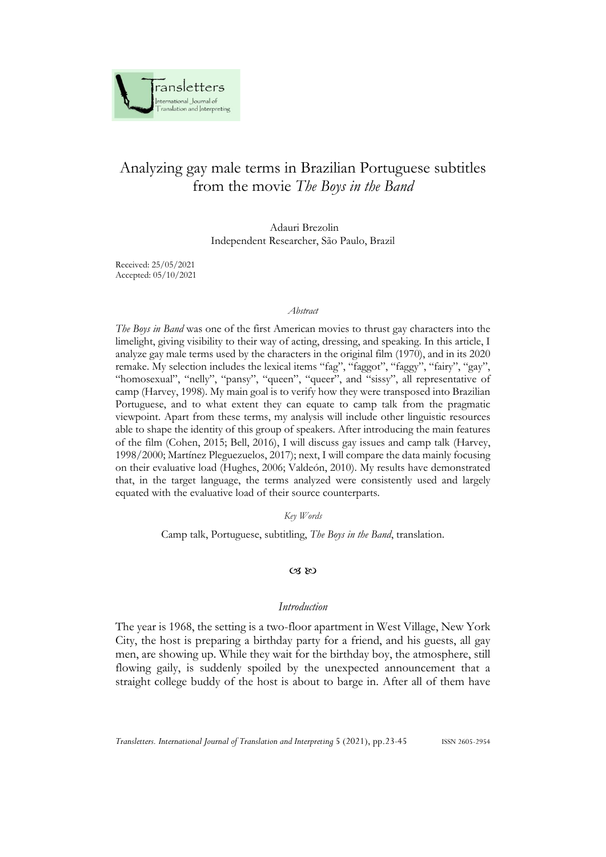

# Analyzing gay male terms in Brazilian Portuguese subtitles from the movie *The Boys in the Band*

Adauri Brezolin Independent Researcher, São Paulo, Brazil

Received: 25/05/2021 Accepted: 05/10/2021

#### *Abstract*

*The Boys in Band* was one of the first American movies to thrust gay characters into the limelight, giving visibility to their way of acting, dressing, and speaking. In this article, I analyze gay male terms used by the characters in the original film (1970), and in its 2020 remake. My selection includes the lexical items "fag", "faggot", "faggy", "fairy", "gay", "homosexual", "nelly", "pansy", "queen", "queer", and "sissy", all representative of camp (Harvey, 1998). My main goal is to verify how they were transposed into Brazilian Portuguese, and to what extent they can equate to camp talk from the pragmatic viewpoint. Apart from these terms, my analysis will include other linguistic resources able to shape the identity of this group of speakers. After introducing the main features of the film (Cohen, 2015; Bell, 2016), I will discuss gay issues and camp talk (Harvey, 1998/2000; Martínez Pleguezuelos, 2017); next, I will compare the data mainly focusing on their evaluative load (Hughes, 2006; Valdeón, 2010). My results have demonstrated that, in the target language, the terms analyzed were consistently used and largely equated with the evaluative load of their source counterparts.

#### *Key Words*

Camp talk, Portuguese, subtitling, *The Boys in the Band*, translation.

### $CZ$  &  $CZ$

## *Introduction*

The year is 1968, the setting is a two-floor apartment in West Village, New York City, the host is preparing a birthday party for a friend, and his guests, all gay men, are showing up. While they wait for the birthday boy, the atmosphere, still flowing gaily, is suddenly spoiled by the unexpected announcement that a straight college buddy of the host is about to barge in. After all of them have

*Transletters. International Journal of Translation and Interpreting* 5 (2021), pp.23-45 ISSN 2605-2954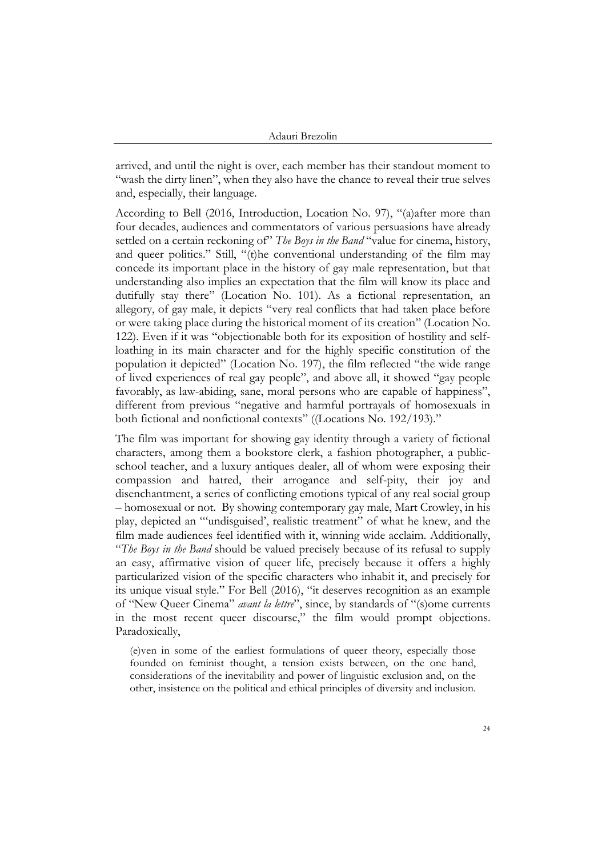arrived, and until the night is over, each member has their standout moment to "wash the dirty linen", when they also have the chance to reveal their true selves and, especially, their language.

According to Bell (2016, Introduction, Location No. 97), "(a)after more than four decades, audiences and commentators of various persuasions have already settled on a certain reckoning of" *The Boys in the Band* "value for cinema, history, and queer politics." Still, "(t)he conventional understanding of the film may concede its important place in the history of gay male representation, but that understanding also implies an expectation that the film will know its place and dutifully stay there" (Location No. 101). As a fictional representation, an allegory, of gay male, it depicts "very real conflicts that had taken place before or were taking place during the historical moment of its creation" (Location No. 122). Even if it was "objectionable both for its exposition of hostility and selfloathing in its main character and for the highly specific constitution of the population it depicted" (Location No. 197), the film reflected "the wide range of lived experiences of real gay people", and above all, it showed "gay people favorably, as law-abiding, sane, moral persons who are capable of happiness", different from previous "negative and harmful portrayals of homosexuals in both fictional and nonfictional contexts" ((Locations No. 192/193)."

The film was important for showing gay identity through a variety of fictional characters, among them a bookstore clerk, a fashion photographer, a publicschool teacher, and a luxury antiques dealer, all of whom were exposing their compassion and hatred, their arrogance and self-pity, their joy and disenchantment, a series of conflicting emotions typical of any real social group – homosexual or not. By showing contemporary gay male, Mart Crowley, in his play, depicted an "'undisguised', realistic treatment" of what he knew, and the film made audiences feel identified with it, winning wide acclaim. Additionally, "*The Boys in the Band* should be valued precisely because of its refusal to supply an easy, affirmative vision of queer life, precisely because it offers a highly particularized vision of the specific characters who inhabit it, and precisely for its unique visual style." For Bell (2016), "it deserves recognition as an example of "New Queer Cinema" *avant la lettre*", since, by standards of "(s)ome currents in the most recent queer discourse," the film would prompt objections. Paradoxically,

(e)ven in some of the earliest formulations of queer theory, especially those founded on feminist thought, a tension exists between, on the one hand, considerations of the inevitability and power of linguistic exclusion and, on the other, insistence on the political and ethical principles of diversity and inclusion.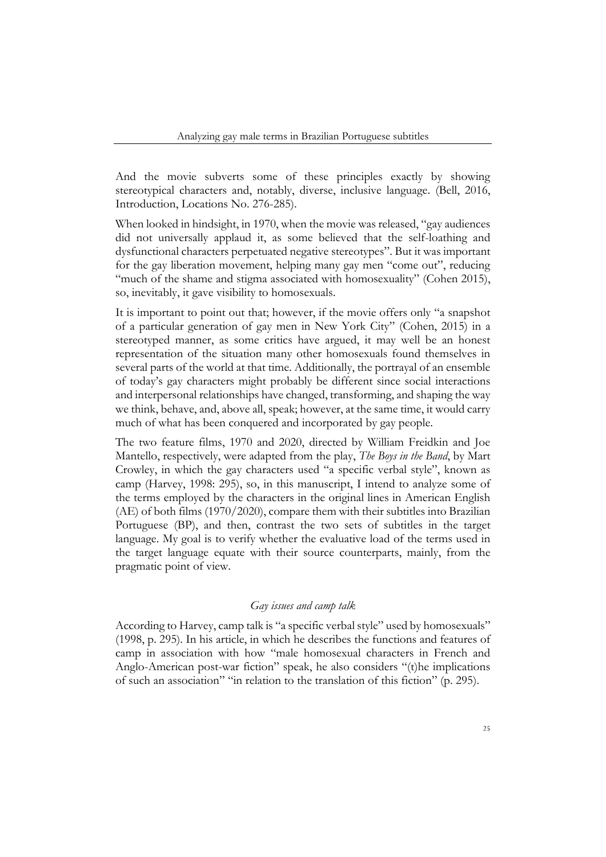And the movie subverts some of these principles exactly by showing stereotypical characters and, notably, diverse, inclusive language. (Bell, 2016, Introduction, Locations No. 276-285).

When looked in hindsight, in 1970, when the movie was released, "gay audiences did not universally applaud it, as some believed that the self-loathing and dysfunctional characters perpetuated negative stereotypes". But it was important for the gay liberation movement, helping many gay men "come out", reducing "much of the shame and stigma associated with homosexuality" (Cohen 2015), so, inevitably, it gave visibility to homosexuals.

It is important to point out that; however, if the movie offers only "a snapshot of a particular generation of gay men in New York City" (Cohen, 2015) in a stereotyped manner, as some critics have argued, it may well be an honest representation of the situation many other homosexuals found themselves in several parts of the world at that time. Additionally, the portrayal of an ensemble of today's gay characters might probably be different since social interactions and interpersonal relationships have changed, transforming, and shaping the way we think, behave, and, above all, speak; however, at the same time, it would carry much of what has been conquered and incorporated by gay people.

The two feature films, 1970 and 2020, directed by William Freidkin and Joe Mantello, respectively, were adapted from the play, *The Boys in the Band*, by Mart Crowley, in which the gay characters used "a specific verbal style", known as camp (Harvey, 1998: 295), so, in this manuscript, I intend to analyze some of the terms employed by the characters in the original lines in American English (AE) of both films (1970/2020), compare them with their subtitles into Brazilian Portuguese (BP), and then, contrast the two sets of subtitles in the target language. My goal is to verify whether the evaluative load of the terms used in the target language equate with their source counterparts, mainly, from the pragmatic point of view.

## *Gay issues and camp talk*

According to Harvey, camp talk is "a specific verbal style" used by homosexuals" (1998, p. 295). In his article, in which he describes the functions and features of camp in association with how "male homosexual characters in French and Anglo-American post-war fiction" speak, he also considers "(t)he implications of such an association" "in relation to the translation of this fiction" (p. 295).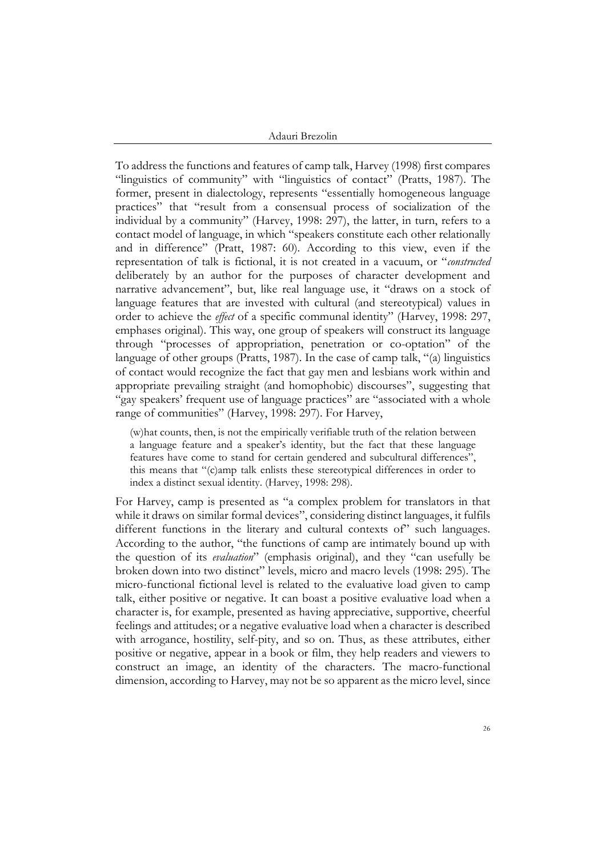To address the functions and features of camp talk, Harvey (1998) first compares "linguistics of community" with "linguistics of contact" (Pratts, 1987). The former, present in dialectology, represents "essentially homogeneous language practices" that "result from a consensual process of socialization of the individual by a community" (Harvey, 1998: 297), the latter, in turn, refers to a contact model of language, in which "speakers constitute each other relationally and in difference" (Pratt, 1987: 60). According to this view, even if the representation of talk is fictional, it is not created in a vacuum, or "*constructed*  deliberately by an author for the purposes of character development and narrative advancement", but, like real language use, it "draws on a stock of language features that are invested with cultural (and stereotypical) values in order to achieve the *effect* of a specific communal identity" (Harvey, 1998: 297, emphases original). This way, one group of speakers will construct its language through "processes of appropriation, penetration or co-optation" of the language of other groups (Pratts, 1987). In the case of camp talk, "(a) linguistics of contact would recognize the fact that gay men and lesbians work within and appropriate prevailing straight (and homophobic) discourses", suggesting that "gay speakers' frequent use of language practices" are "associated with a whole range of communities" (Harvey, 1998: 297). For Harvey,

(w)hat counts, then, is not the empirically verifiable truth of the relation between a language feature and a speaker's identity, but the fact that these language features have come to stand for certain gendered and subcultural differences", this means that "(c)amp talk enlists these stereotypical differences in order to index a distinct sexual identity. (Harvey, 1998: 298).

For Harvey, camp is presented as "a complex problem for translators in that while it draws on similar formal devices", considering distinct languages, it fulfils different functions in the literary and cultural contexts of" such languages. According to the author, "the functions of camp are intimately bound up with the question of its *evaluation*" (emphasis original), and they "can usefully be broken down into two distinct" levels, micro and macro levels (1998: 295). The micro-functional fictional level is related to the evaluative load given to camp talk, either positive or negative. It can boast a positive evaluative load when a character is, for example, presented as having appreciative, supportive, cheerful feelings and attitudes; or a negative evaluative load when a character is described with arrogance, hostility, self-pity, and so on. Thus, as these attributes, either positive or negative, appear in a book or film, they help readers and viewers to construct an image, an identity of the characters. The macro-functional dimension, according to Harvey, may not be so apparent as the micro level, since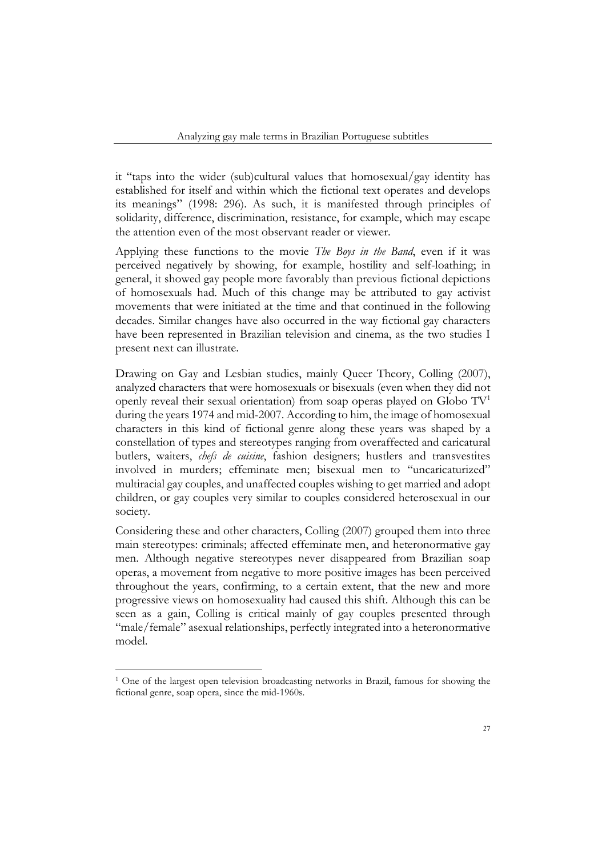it "taps into the wider (sub)cultural values that homosexual/gay identity has established for itself and within which the fictional text operates and develops its meanings" (1998: 296). As such, it is manifested through principles of solidarity, difference, discrimination, resistance, for example, which may escape the attention even of the most observant reader or viewer.

Applying these functions to the movie *The Boys in the Band*, even if it was perceived negatively by showing, for example, hostility and self-loathing; in general, it showed gay people more favorably than previous fictional depictions of homosexuals had. Much of this change may be attributed to gay activist movements that were initiated at the time and that continued in the following decades. Similar changes have also occurred in the way fictional gay characters have been represented in Brazilian television and cinema, as the two studies I present next can illustrate.

Drawing on Gay and Lesbian studies, mainly Queer Theory, Colling (2007), analyzed characters that were homosexuals or bisexuals (even when they did not openly reveal their sexual orientation) from soap operas played on Globo  $TV<sup>1</sup>$ during the years 1974 and mid-2007. According to him, the image of homosexual characters in this kind of fictional genre along these years was shaped by a constellation of types and stereotypes ranging from overaffected and caricatural butlers, waiters, *chefs de cuisine*, fashion designers; hustlers and transvestites involved in murders; effeminate men; bisexual men to "uncaricaturized" multiracial gay couples, and unaffected couples wishing to get married and adopt children, or gay couples very similar to couples considered heterosexual in our society.

Considering these and other characters, Colling (2007) grouped them into three main stereotypes: criminals; affected effeminate men, and heteronormative gay men. Although negative stereotypes never disappeared from Brazilian soap operas, a movement from negative to more positive images has been perceived throughout the years, confirming, to a certain extent, that the new and more progressive views on homosexuality had caused this shift. Although this can be seen as a gain, Colling is critical mainly of gay couples presented through "male/female" asexual relationships, perfectly integrated into a heteronormative model.

<sup>1</sup> One of the largest open television broadcasting networks in Brazil, famous for showing the fictional genre, soap opera, since the mid-1960s.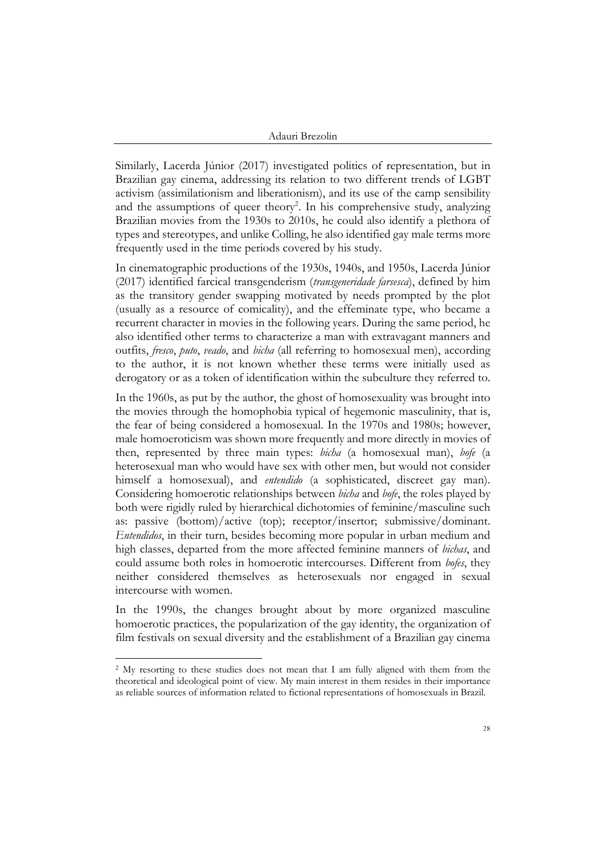Similarly, Lacerda Júnior (2017) investigated politics of representation, but in Brazilian gay cinema, addressing its relation to two different trends of LGBT activism (assimilationism and liberationism), and its use of the camp sensibility and the assumptions of queer theory<sup>2</sup>. In his comprehensive study, analyzing Brazilian movies from the 1930s to 2010s, he could also identify a plethora of types and stereotypes, and unlike Colling, he also identified gay male terms more frequently used in the time periods covered by his study.

In cinematographic productions of the 1930s, 1940s, and 1950s, Lacerda Júnior (2017) identified farcical transgenderism (*transgeneridade farsesca*), defined by him as the transitory gender swapping motivated by needs prompted by the plot (usually as a resource of comicality), and the effeminate type, who became a recurrent character in movies in the following years. During the same period, he also identified other terms to characterize a man with extravagant manners and outfits, *fresco*, *puto*, *veado*, and *bicha* (all referring to homosexual men), according to the author, it is not known whether these terms were initially used as derogatory or as a token of identification within the subculture they referred to.

In the 1960s, as put by the author, the ghost of homosexuality was brought into the movies through the homophobia typical of hegemonic masculinity, that is, the fear of being considered a homosexual. In the 1970s and 1980s; however, male homoeroticism was shown more frequently and more directly in movies of then, represented by three main types: *bicha* (a homosexual man), *bofe* (a heterosexual man who would have sex with other men, but would not consider himself a homosexual), and *entendido* (a sophisticated, discreet gay man). Considering homoerotic relationships between *bicha* and *bofe*, the roles played by both were rigidly ruled by hierarchical dichotomies of feminine/masculine such as: passive (bottom)/active (top); receptor/insertor; submissive/dominant. *Entendidos*, in their turn, besides becoming more popular in urban medium and high classes, departed from the more affected feminine manners of *bichas*, and could assume both roles in homoerotic intercourses. Different from *bofes*, they neither considered themselves as heterosexuals nor engaged in sexual intercourse with women.

In the 1990s, the changes brought about by more organized masculine homoerotic practices, the popularization of the gay identity, the organization of film festivals on sexual diversity and the establishment of a Brazilian gay cinema

<sup>&</sup>lt;sup>2</sup> My resorting to these studies does not mean that I am fully aligned with them from the theoretical and ideological point of view. My main interest in them resides in their importance as reliable sources of information related to fictional representations of homosexuals in Brazil.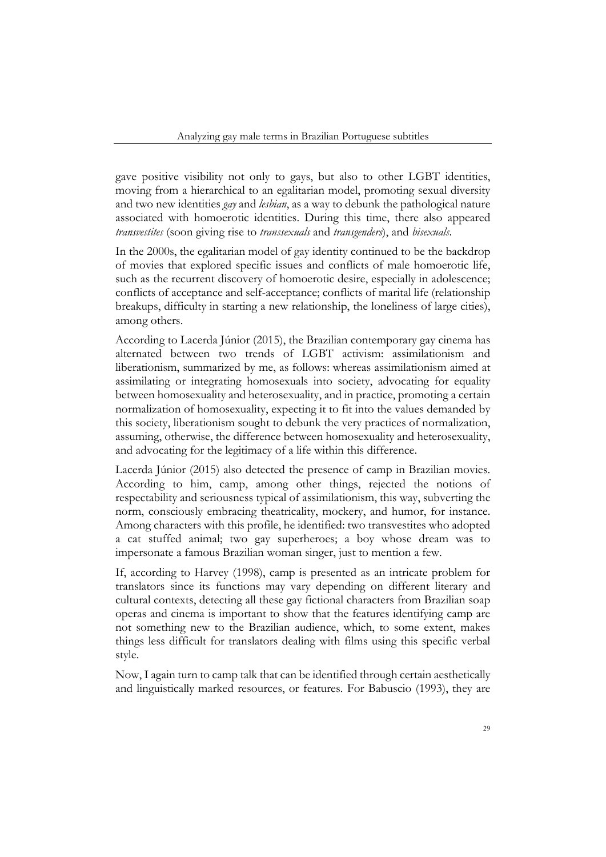gave positive visibility not only to gays, but also to other LGBT identities, moving from a hierarchical to an egalitarian model, promoting sexual diversity and two new identities *gay* and *lesbian*, as a way to debunk the pathological nature associated with homoerotic identities. During this time, there also appeared *transvestites* (soon giving rise to *transsexuals* and *transgenders*), and *bisexuals*.

In the 2000s, the egalitarian model of gay identity continued to be the backdrop of movies that explored specific issues and conflicts of male homoerotic life, such as the recurrent discovery of homoerotic desire, especially in adolescence; conflicts of acceptance and self-acceptance; conflicts of marital life (relationship breakups, difficulty in starting a new relationship, the loneliness of large cities), among others.

According to Lacerda Júnior (2015), the Brazilian contemporary gay cinema has alternated between two trends of LGBT activism: assimilationism and liberationism, summarized by me, as follows: whereas assimilationism aimed at assimilating or integrating homosexuals into society, advocating for equality between homosexuality and heterosexuality, and in practice, promoting a certain normalization of homosexuality, expecting it to fit into the values demanded by this society, liberationism sought to debunk the very practices of normalization, assuming, otherwise, the difference between homosexuality and heterosexuality, and advocating for the legitimacy of a life within this difference.

Lacerda Júnior (2015) also detected the presence of camp in Brazilian movies. According to him, camp, among other things, rejected the notions of respectability and seriousness typical of assimilationism, this way, subverting the norm, consciously embracing theatricality, mockery, and humor, for instance. Among characters with this profile, he identified: two transvestites who adopted a cat stuffed animal; two gay superheroes; a boy whose dream was to impersonate a famous Brazilian woman singer, just to mention a few.

If, according to Harvey (1998), camp is presented as an intricate problem for translators since its functions may vary depending on different literary and cultural contexts, detecting all these gay fictional characters from Brazilian soap operas and cinema is important to show that the features identifying camp are not something new to the Brazilian audience, which, to some extent, makes things less difficult for translators dealing with films using this specific verbal style.

Now, I again turn to camp talk that can be identified through certain aesthetically and linguistically marked resources, or features. For Babuscio (1993), they are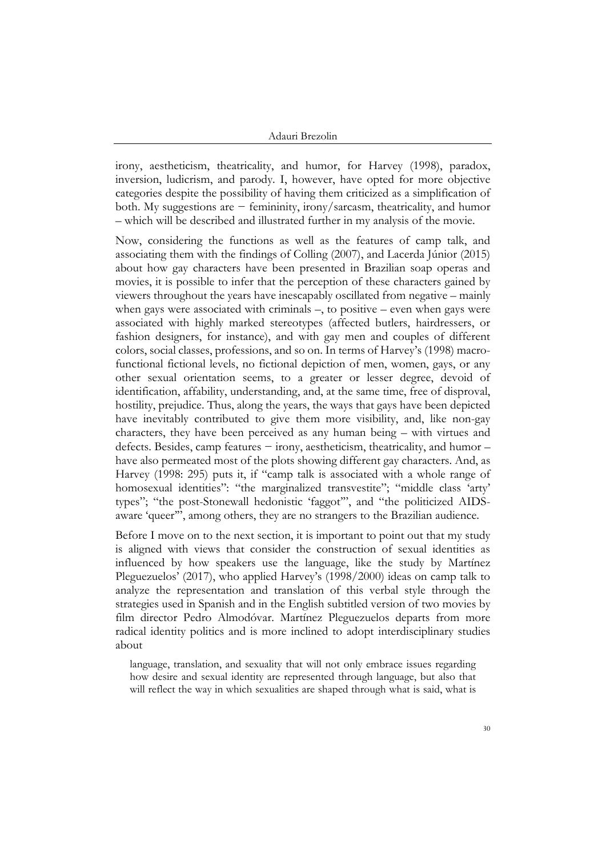irony, aestheticism, theatricality, and humor, for Harvey (1998), paradox, inversion, ludicrism, and parody. I, however, have opted for more objective categories despite the possibility of having them criticized as a simplification of both. My suggestions are − femininity, irony/sarcasm, theatricality, and humor – which will be described and illustrated further in my analysis of the movie.

Now, considering the functions as well as the features of camp talk, and associating them with the findings of Colling (2007), and Lacerda Júnior (2015) about how gay characters have been presented in Brazilian soap operas and movies, it is possible to infer that the perception of these characters gained by viewers throughout the years have inescapably oscillated from negative – mainly when gays were associated with criminals –, to positive – even when gays were associated with highly marked stereotypes (affected butlers, hairdressers, or fashion designers, for instance), and with gay men and couples of different colors, social classes, professions, and so on. In terms of Harvey's (1998) macrofunctional fictional levels, no fictional depiction of men, women, gays, or any other sexual orientation seems, to a greater or lesser degree, devoid of identification, affability, understanding, and, at the same time, free of disproval, hostility, prejudice. Thus, along the years, the ways that gays have been depicted have inevitably contributed to give them more visibility, and, like non-gay characters, they have been perceived as any human being – with virtues and defects. Besides, camp features − irony, aestheticism, theatricality, and humor – have also permeated most of the plots showing different gay characters. And, as Harvey (1998: 295) puts it, if "camp talk is associated with a whole range of homosexual identities": "the marginalized transvestite"; "middle class 'arty' types"; "the post-Stonewall hedonistic 'faggot'", and "the politicized AIDSaware 'queer'", among others, they are no strangers to the Brazilian audience.

Before I move on to the next section, it is important to point out that my study is aligned with views that consider the construction of sexual identities as influenced by how speakers use the language, like the study by Martínez Pleguezuelos' (2017), who applied Harvey's (1998/2000) ideas on camp talk to analyze the representation and translation of this verbal style through the strategies used in Spanish and in the English subtitled version of two movies by film director Pedro Almodóvar. Martínez Pleguezuelos departs from more radical identity politics and is more inclined to adopt interdisciplinary studies about

language, translation, and sexuality that will not only embrace issues regarding how desire and sexual identity are represented through language, but also that will reflect the way in which sexualities are shaped through what is said, what is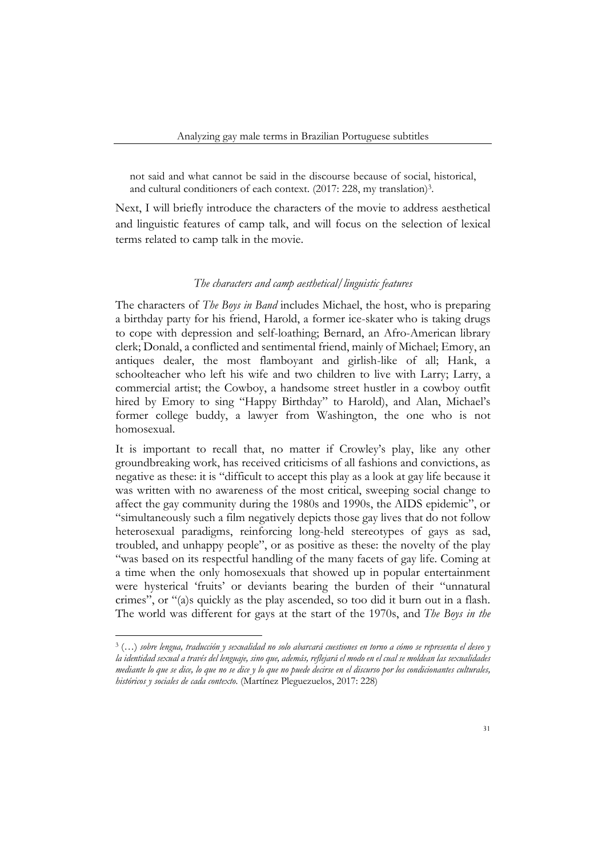not said and what cannot be said in the discourse because of social, historical, and cultural conditioners of each context. (2017: 228, my translation)<sup>3</sup>.

Next, I will briefly introduce the characters of the movie to address aesthetical and linguistic features of camp talk, and will focus on the selection of lexical terms related to camp talk in the movie.

## *The characters and camp aesthetical/linguistic features*

The characters of *The Boys in Band* includes Michael, the host, who is preparing a birthday party for his friend, Harold, a former ice-skater who is taking drugs to cope with depression and self-loathing; Bernard, an Afro-American library clerk; Donald, a conflicted and sentimental friend, mainly of Michael; Emory, an antiques dealer, the most flamboyant and girlish-like of all; Hank, a schoolteacher who left his wife and two children to live with Larry; Larry, a commercial artist; the Cowboy, a handsome street hustler in a cowboy outfit hired by Emory to sing "Happy Birthday" to Harold), and Alan, Michael's former college buddy, a lawyer from Washington, the one who is not homosexual.

It is important to recall that, no matter if Crowley's play, like any other groundbreaking work, has received criticisms of all fashions and convictions, as negative as these: it is "difficult to accept this play as a look at gay life because it was written with no awareness of the most critical, sweeping social change to affect the gay community during the 1980s and 1990s, the AIDS epidemic", or "simultaneously such a film negatively depicts those gay lives that do not follow heterosexual paradigms, reinforcing long-held stereotypes of gays as sad, troubled, and unhappy people", or as positive as these: the novelty of the play "was based on its respectful handling of the many facets of gay life. Coming at a time when the only homosexuals that showed up in popular entertainment were hysterical 'fruits' or deviants bearing the burden of their "unnatural crimes", or "(a)s quickly as the play ascended, so too did it burn out in a flash. The world was different for gays at the start of the 1970s, and *The Boys in the* 

<sup>3</sup> (…) *sobre lengua, traducción y sexualidad no solo abarcará cuestiones en torno a cómo se representa el deseo y la identidad sexual a través del lenguaje, sino que, además, reflejará el modo en el cual se moldean las sexualidades mediante lo que se dice, lo que no se dice y lo que no puede decirse en el discurso por los condicionantes culturales, históricos y sociales de cada contexto*. (Martínez Pleguezuelos, 2017: 228)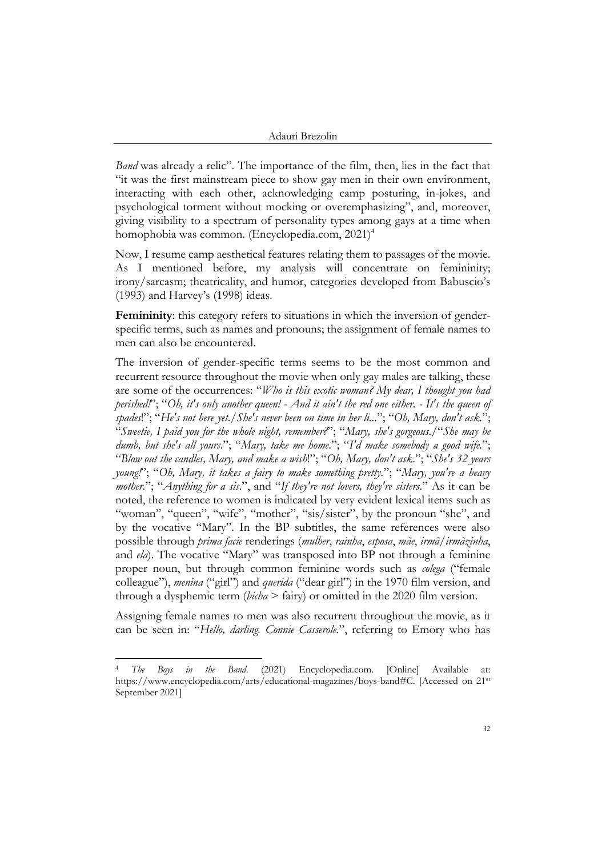*Band* was already a relic". The importance of the film, then, lies in the fact that "it was the first mainstream piece to show gay men in their own environment, interacting with each other, acknowledging camp posturing, in-jokes, and psychological torment without mocking or overemphasizing", and, moreover, giving visibility to a spectrum of personality types among gays at a time when homophobia was common. (Encyclopedia.com, 2021)<sup>4</sup>

Now, I resume camp aesthetical features relating them to passages of the movie. As I mentioned before, my analysis will concentrate on femininity; irony/sarcasm; theatricality, and humor, categories developed from Babuscio's (1993) and Harvey's (1998) ideas.

**Femininity**: this category refers to situations in which the inversion of genderspecific terms, such as names and pronouns; the assignment of female names to men can also be encountered.

The inversion of gender-specific terms seems to be the most common and recurrent resource throughout the movie when only gay males are talking, these are some of the occurrences: "*Who is this exotic woman? My dear, I thought you had perished!*"; "*Oh, it's only another queen! - And it ain't the red one either. - It's the queen of spades*!"; "*He's not here yet*./*She's never been on time in her li...*"; "*Oh, Mary, don't ask.*"; "*Sweetie, I paid you for the whole night, remember?*"; "*Mary, she's gorgeous*./"*She may be dumb, but she's all yours*."; "*Mary, take me home*."; "*I'd make somebody a good wife.*"; "*Blow out the candles, Mary, and make a wish*!"; "*Oh, Mary, don't ask*."; "*She's 32 years young!*"; "*Oh, Mary, it takes a fairy to make something pretty.*"; "*Mary, you're a heavy mother.*"; "*Anything for a sis*.", and "*If they're not lovers, they're sisters*." As it can be noted, the reference to women is indicated by very evident lexical items such as "woman", "queen", "wife", "mother", "sis/sister", by the pronoun "she", and by the vocative "Mary". In the BP subtitles, the same references were also possible through *prima facie* renderings (*mulher*, *rainha*, *esposa*, *mãe*, *irmã*/*irmãzinha*, and *ela*). The vocative "Mary" was transposed into BP not through a feminine proper noun, but through common feminine words such as *colega* ("female colleague"), *menina* ("girl") and *querida* ("dear girl") in the 1970 film version, and through a dysphemic term (*bicha* > fairy) or omitted in the 2020 film version.

Assigning female names to men was also recurrent throughout the movie, as it can be seen in: "*Hello, darling. Connie Casserole.*", referring to Emory who has

<sup>4</sup> *The Boys in the Band*. (2021) Encyclopedia.com. [Online] Available at: https://www.encyclopedia.com/arts/educational-magazines/boys-band#C. [Accessed on 21st September 2021]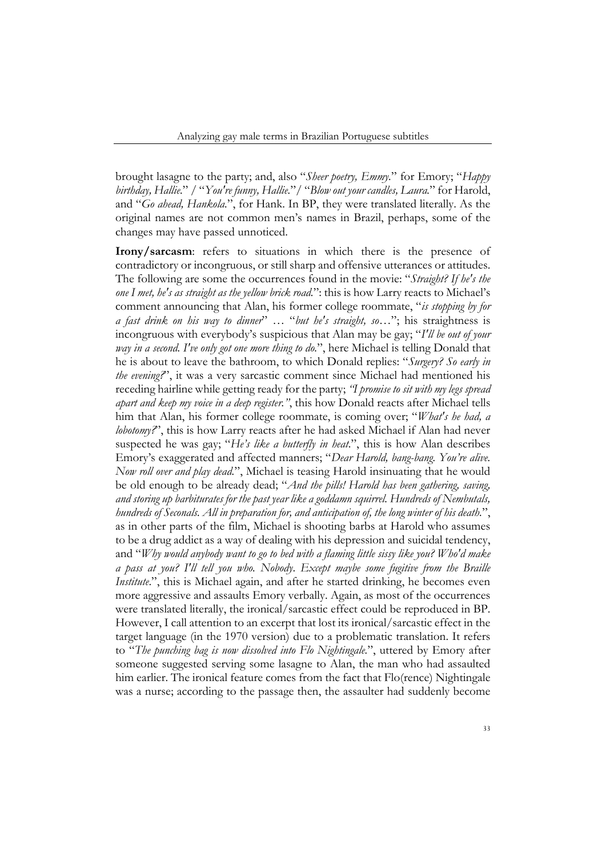brought lasagne to the party; and, also "*Sheer poetry, Emmy.*" for Emory; "*Happy birthday, Hallie.*" / "*You're funny, Hallie.*"/ "*Blow out your candles, Laura.*" for Harold, and "*Go ahead, Hankola.*", for Hank. In BP, they were translated literally. As the original names are not common men's names in Brazil, perhaps, some of the changes may have passed unnoticed.

**Irony/sarcasm**: refers to situations in which there is the presence of contradictory or incongruous, or still sharp and offensive utterances or attitudes. The following are some the occurrences found in the movie: "*Straight? If he's the one I met, he's as straight as the yellow brick road.*": this is how Larry reacts to Michael's comment announcing that Alan, his former college roommate, "*is stopping by for a fast drink on his way to dinner*" … "*but he's straight, so…*"; his straightness is incongruous with everybody's suspicious that Alan may be gay; "*I'll be out of your way in a second. I've only got one more thing to do.*", here Michael is telling Donald that he is about to leave the bathroom, to which Donald replies: "*Surgery? So early in the evening?*", it was a very sarcastic comment since Michael had mentioned his receding hairline while getting ready for the party; *"I promise to sit with my legs spread apart and keep my voice in a deep register."*, this how Donald reacts after Michael tells him that Alan, his former college roommate, is coming over; "*What's he had, a lobotomy?*", this is how Larry reacts after he had asked Michael if Alan had never suspected he was gay; "*He's like a butterfly in heat*.", this is how Alan describes Emory's exaggerated and affected manners; "*Dear Harold, bang-bang. You're alive. Now roll over and play dead.*", Michael is teasing Harold insinuating that he would be old enough to be already dead; "*And the pills! Harold has been gathering, saving, and storing up barbiturates for the past year like a goddamn squirrel. Hundreds of Nembutals, hundreds of Seconals. All in preparation for, and anticipation of, the long winter of his death.*", as in other parts of the film, Michael is shooting barbs at Harold who assumes to be a drug addict as a way of dealing with his depression and suicidal tendency, and "*Why would anybody want to go to bed with a flaming little sissy like you? Who'd make a pass at you? I'll tell you who. Nobody*. *Except maybe some fugitive from the Braille Institute.*", this is Michael again, and after he started drinking, he becomes even more aggressive and assaults Emory verbally. Again, as most of the occurrences were translated literally, the ironical/sarcastic effect could be reproduced in BP. However, I call attention to an excerpt that lost its ironical/sarcastic effect in the target language (in the 1970 version) due to a problematic translation. It refers to "*The punching bag is now dissolved into Flo Nightingale.*", uttered by Emory after someone suggested serving some lasagne to Alan, the man who had assaulted him earlier. The ironical feature comes from the fact that Flo(rence) Nightingale was a nurse; according to the passage then, the assaulter had suddenly become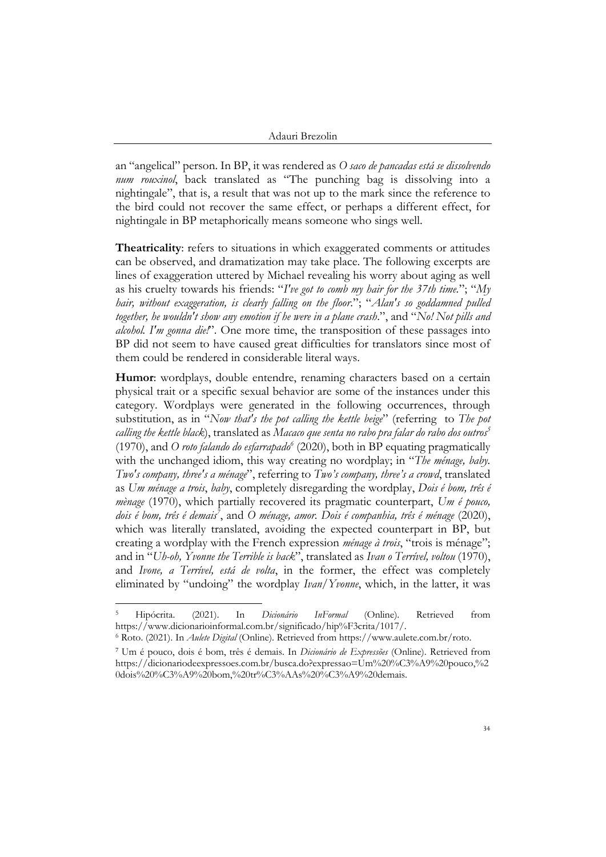an "angelical" person. In BP, it was rendered as *O saco de pancadas está se dissolvendo num rouxinol*, back translated as "The punching bag is dissolving into a nightingale", that is, a result that was not up to the mark since the reference to the bird could not recover the same effect, or perhaps a different effect, for nightingale in BP metaphorically means someone who sings well.

**Theatricality**: refers to situations in which exaggerated comments or attitudes can be observed, and dramatization may take place. The following excerpts are lines of exaggeration uttered by Michael revealing his worry about aging as well as his cruelty towards his friends: "*I've got to comb my hair for the 37th time.*"; "*My hair, without exaggeration, is clearly falling on the floor*."; "*Alan's so goddamned pulled together, he wouldn't show any emotion if he were in a plane crash*.", and "*No! Not pills and alcohol. I'm gonna die!*". One more time, the transposition of these passages into BP did not seem to have caused great difficulties for translators since most of them could be rendered in considerable literal ways.

**Humor**: wordplays, double entendre, renaming characters based on a certain physical trait or a specific sexual behavior are some of the instances under this category. Wordplays were generated in the following occurrences, through substitution, as in "*Now that's the pot calling the kettle beige*" (referring to *The pot calling the kettle black*), translated as *Macaco que senta no rabo pra falar do rabo dos outros<sup>5</sup>* (1970), and *O roto falando do esfarrapado<sup>6</sup>* (2020), both in BP equating pragmatically with the unchanged idiom, this way creating no wordplay; in "*The ménage, baby. Two's company, three's a ménage*", referring to *Two's company, three's a crowd*, translated as *Um ménage a trois*, *baby*, completely disregarding the wordplay, *Dois é bom, três é mènage* (1970), which partially recovered its pragmatic counterpart, *Um é pouco, dois é bom, três é demais<sup>7</sup>* , and *O ménage, amor. Dois é companhia, três é ménage* (2020), which was literally translated, avoiding the expected counterpart in BP, but creating a wordplay with the French expression *ménage à trois*, "trois is ménage"; and in "*Uh-oh, Yvonne the Terrible is back*", translated as *Ivan o Terrível, voltou* (1970), and *Ivone, a Terrível, está de volta*, in the former, the effect was completely eliminated by "undoing" the wordplay *Ivan*/*Yvonne*, which, in the latter, it was

<sup>5</sup> Hipócrita. (2021). In *Dicionário InFormal* (Online). Retrieved from https://www.dicionarioinformal.com.br/significado/hip%F3crita/1017/.

<sup>6</sup> Roto. (2021). In *Aulete Digital* (Online). Retrieved from https://www.aulete.com.br/roto.

<sup>7</sup> Um é pouco, dois é bom, três é demais. In *Dicionário de Expressões* (Online). Retrieved from https://dicionariodeexpressoes.com.br/busca.do?expressao=Um%20%C3%A9%20pouco,%2 0dois%20%C3%A9%20bom,%20tr%C3%AAs%20%C3%A9%20demais.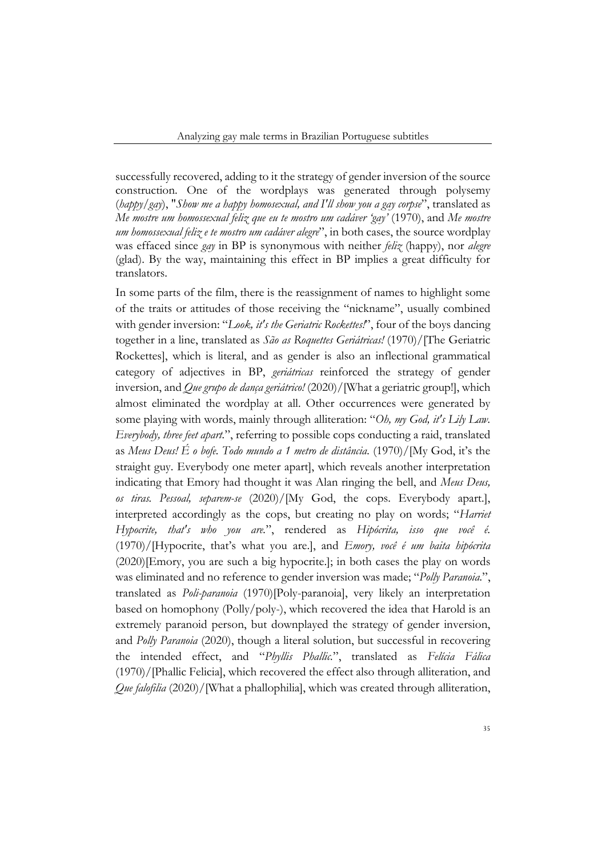successfully recovered, adding to it the strategy of gender inversion of the source construction. One of the wordplays was generated through polysemy (*happy*/*gay*), "*Show me a happy homosexual, and I'll show you a gay corpse*", translated as *Me mostre um homossexual feliz que eu te mostro um cadáver 'gay'* (1970), and *Me mostre um homossexual feliz e te mostro um cadáver alegre*", in both cases, the source wordplay was effaced since *gay* in BP is synonymous with neither *feliz* (happy), nor *alegre* (glad). By the way, maintaining this effect in BP implies a great difficulty for translators.

In some parts of the film, there is the reassignment of names to highlight some of the traits or attitudes of those receiving the "nickname", usually combined with gender inversion: "*Look, it's the Geriatric Rockettes!*", four of the boys dancing together in a line, translated as *São as Roquettes Geriátricas!* (1970)/[The Geriatric Rockettes], which is literal, and as gender is also an inflectional grammatical category of adjectives in BP, *geriátricas* reinforced the strategy of gender inversion, and *Que grupo de dança geriátrico!* (2020)/[What a geriatric group!], which almost eliminated the wordplay at all. Other occurrences were generated by some playing with words, mainly through alliteration: "*Oh, my God, it's Lily Law. Everybody, three feet apart.*", referring to possible cops conducting a raid, translated as *Meus Deus! É o bofe. Todo mundo a 1 metro de distância.* (1970)/[My God, it's the straight guy. Everybody one meter apart], which reveals another interpretation indicating that Emory had thought it was Alan ringing the bell, and *Meus Deus, os tiras. Pessoal, separem-se* (2020)/[My God, the cops. Everybody apart.], interpreted accordingly as the cops, but creating no play on words; "*Harriet Hypocrite, that's who you are.*", rendered as *Hipócrita, isso que você é.* (1970)/[Hypocrite, that's what you are.], and *Emory, você é um baita hipócrita* (2020)[Emory, you are such a big hypocrite.]; in both cases the play on words was eliminated and no reference to gender inversion was made; "*Polly Paranoia.*", translated as *Poli-paranoia* (1970)[Poly-paranoia], very likely an interpretation based on homophony (Polly/poly-), which recovered the idea that Harold is an extremely paranoid person, but downplayed the strategy of gender inversion, and *Polly Paranoia* (2020), though a literal solution, but successful in recovering the intended effect, and "*Phyllis Phallic.*", translated as *Felícia Fálica*  (1970)/[Phallic Felicia], which recovered the effect also through alliteration, and *Que falofilia* (2020)/[What a phallophilia], which was created through alliteration,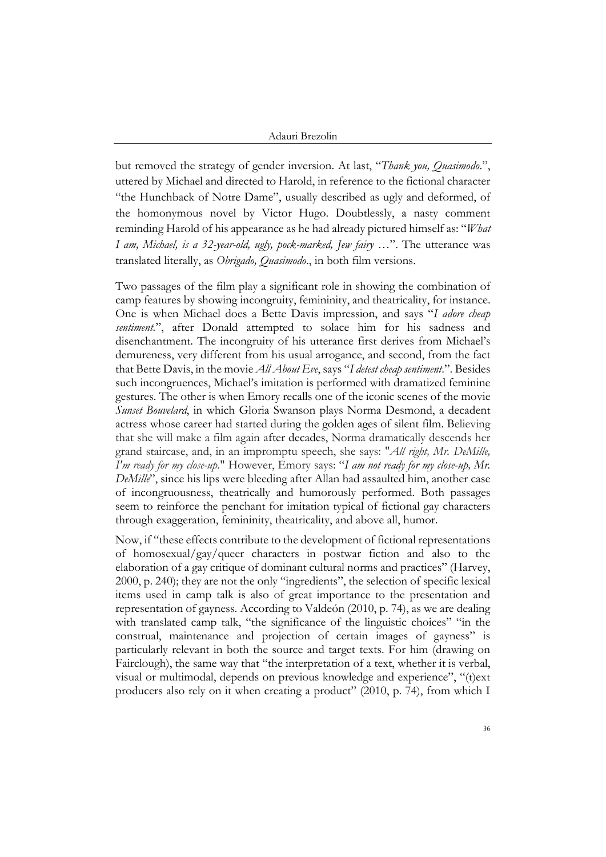but removed the strategy of gender inversion. At last, "*Thank you, Quasimodo*.", uttered by Michael and directed to Harold, in reference to the fictional character "the Hunchback of Notre Dame", usually described as ugly and deformed, of the homonymous novel by Victor Hugo. Doubtlessly, a nasty comment reminding Harold of his appearance as he had already pictured himself as: "*What I am, Michael, is a 32-year-old, ugly, pock-marked, Jew fairy …*". The utterance was translated literally, as *Obrigado, Quasimodo*., in both film versions.

Two passages of the film play a significant role in showing the combination of camp features by showing incongruity, femininity, and theatricality, for instance. One is when Michael does a Bette Davis impression, and says "*I adore cheap sentiment.*", after Donald attempted to solace him for his sadness and disenchantment. The incongruity of his utterance first derives from Michael's demureness, very different from his usual arrogance, and second, from the fact that Bette Davis, in the movie *All About Eve*, says "*I detest cheap sentiment*.". Besides such incongruences, Michael's imitation is performed with dramatized feminine gestures. The other is when Emory recalls one of the iconic scenes of the movie *Sunset Bouvelard*, in which Gloria Swanson plays Norma Desmond, a decadent actress whose career had started during the golden ages of silent film. Believing that she will make a film again after decades, Norma dramatically descends her grand staircase, and, in an impromptu speech, she says: "*All right, Mr. DeMille, I'm ready for my close-up.*" However, Emory says: "*I am not ready for my close-up, Mr. DeMille*", since his lips were bleeding after Allan had assaulted him, another case of incongruousness, theatrically and humorously performed. Both passages seem to reinforce the penchant for imitation typical of fictional gay characters through exaggeration, femininity, theatricality, and above all, humor.

Now, if "these effects contribute to the development of fictional representations of homosexual/gay/queer characters in postwar fiction and also to the elaboration of a gay critique of dominant cultural norms and practices" (Harvey, 2000, p. 240); they are not the only "ingredients", the selection of specific lexical items used in camp talk is also of great importance to the presentation and representation of gayness. According to Valdeón (2010, p. 74), as we are dealing with translated camp talk, "the significance of the linguistic choices" "in the construal, maintenance and projection of certain images of gayness" is particularly relevant in both the source and target texts. For him (drawing on Fairclough), the same way that "the interpretation of a text, whether it is verbal, visual or multimodal, depends on previous knowledge and experience", "(t)ext producers also rely on it when creating a product" (2010, p. 74), from which I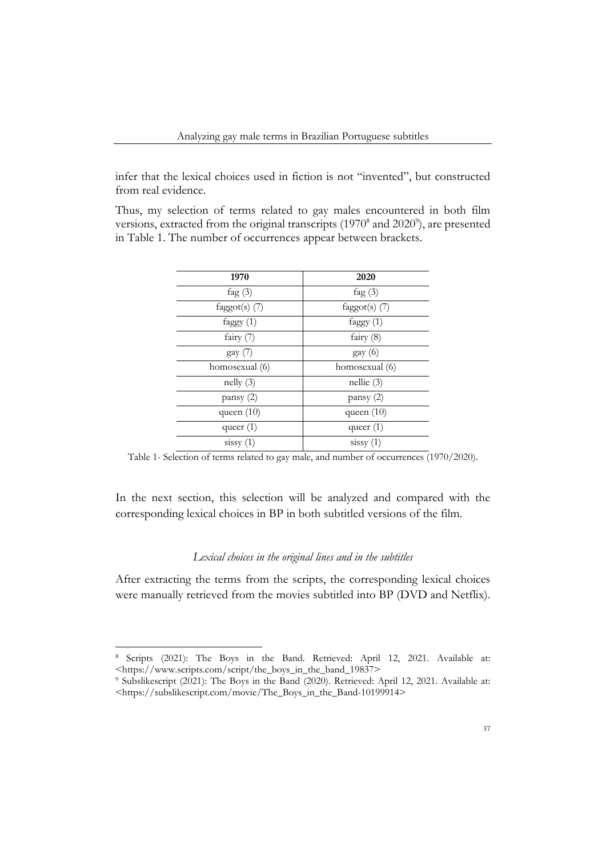infer that the lexical choices used in fiction is not "invented", but constructed from real evidence.

Thus, my selection of terms related to gay males encountered in both film versions, extracted from the original transcripts  $(1970<sup>8</sup>$  and  $2020<sup>9</sup>)$ , are presented in Table 1. The number of occurrences appear between brackets.

| 1970               | 2020            |
|--------------------|-----------------|
| fag $(3)$          | fag $(3)$       |
| faggot(s) $(7)$    | $fagger(s)$ (7) |
| faggy $(1)$        | faggy $(1)$     |
| fairy $(7)$        | fairy $(8)$     |
| $\gamma$ gay $(7)$ | $\gamma$ (6)    |
| homosexual (6)     | homosexual (6)  |
| nelly(3)           | $n$ ellie $(3)$ |
| pansy (2)          | pansy (2)       |
| queen $(10)$       | queen $(10)$    |
| queer $(1)$        | queer $(1)$     |
| sissy(1)           | sissy(1)        |

Table 1- Selection of terms related to gay male, and number of occurrences (1970/2020).

In the next section, this selection will be analyzed and compared with the corresponding lexical choices in BP in both subtitled versions of the film.

## *Lexical choices in the original lines and in the subtitles*

After extracting the terms from the scripts, the corresponding lexical choices were manually retrieved from the movies subtitled into BP (DVD and Netflix).

<sup>8</sup> Scripts (2021): The Boys in the Band. Retrieved: April 12, 2021. Available at: <https://www.scripts.com/script/the\_boys\_in\_the\_band\_19837>

<sup>9</sup> Subslikescript (2021): The Boys in the Band (2020). Retrieved: April 12, 2021. Available at: <https://subslikescript.com/movie/The\_Boys\_in\_the\_Band-10199914>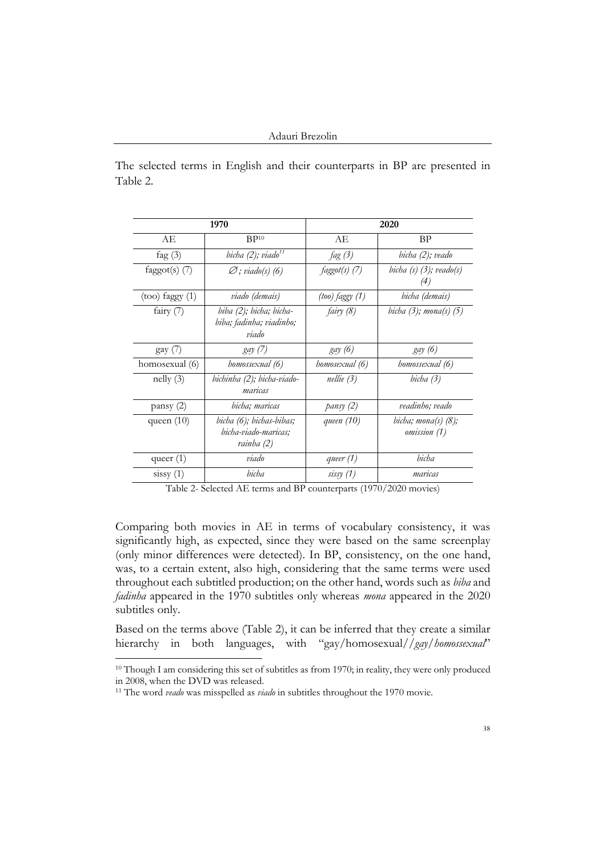The selected terms in English and their counterparts in BP are presented in Table 2.

| 1970                |                                                                | 2020            |                                        |
|---------------------|----------------------------------------------------------------|-----------------|----------------------------------------|
| AЕ                  | BP <sup>10</sup>                                               | AЕ              | BP                                     |
| fag $(3)$           | bicha (2); viado <sup>11</sup>                                 | fag(3)          | bicha (2); veado                       |
| faggot(s) $(7)$     | $\varnothing$ ; viado(s) (6)                                   | $faggot(s)$ (7) | bicha $(s)$ $(3)$ ; veado $(s)$<br>(4) |
| $(too)$ faggy $(1)$ | viado (demais)                                                 | (too) faggy (1) | bicha (demais)                         |
| fairy (7)           | biba (2); bicha; bicha-<br>biba; fadinha; viadinho;<br>viado   | fairy (8)       | bicha $(3)$ ; mona $(s)$ $(5)$         |
| $\gamma$ (7)        | <i>gay</i> (7)                                                 | gay (6)         | <i>gay</i> (6)                         |
| homosexual (6)      | homossexual (6)                                                | homosexual (6)  | homossexual (6)                        |
| $\text{nelly } (3)$ | bichinha (2); bicha-viado-<br>maricas                          | $n$ ellie $(3)$ | bicha (3)                              |
| pansy(2)            | bicha; maricas                                                 | pansy (2)       | veadinho; veado                        |
| queen $(10)$        | bicha (6); bichas-bibas;<br>bicha-viado-maricas;<br>rainha (2) | queen (10)      | bicha; mona(s) $(8)$ ;<br>omission (1) |
| queer $(1)$         | viado                                                          | queer $(1)$     | bicha                                  |
| sissy(1)            | bicha                                                          | sisy(1)         | maricas                                |

Table 2- Selected AE terms and BP counterparts (1970/2020 movies)

Comparing both movies in AE in terms of vocabulary consistency, it was significantly high, as expected, since they were based on the same screenplay (only minor differences were detected). In BP, consistency, on the one hand, was, to a certain extent, also high, considering that the same terms were used throughout each subtitled production; on the other hand, words such as *biba* and *fadinha* appeared in the 1970 subtitles only whereas *mona* appeared in the 2020 subtitles only.

Based on the terms above (Table 2), it can be inferred that they create a similar hierarchy in both languages, with "gay/homosexual//*gay*/*homossexual*"

<sup>&</sup>lt;sup>10</sup> Though I am considering this set of subtitles as from 1970; in reality, they were only produced in 2008, when the DVD was released.

<sup>&</sup>lt;sup>11</sup> The word *veado* was misspelled as *viado* in subtitles throughout the 1970 movie.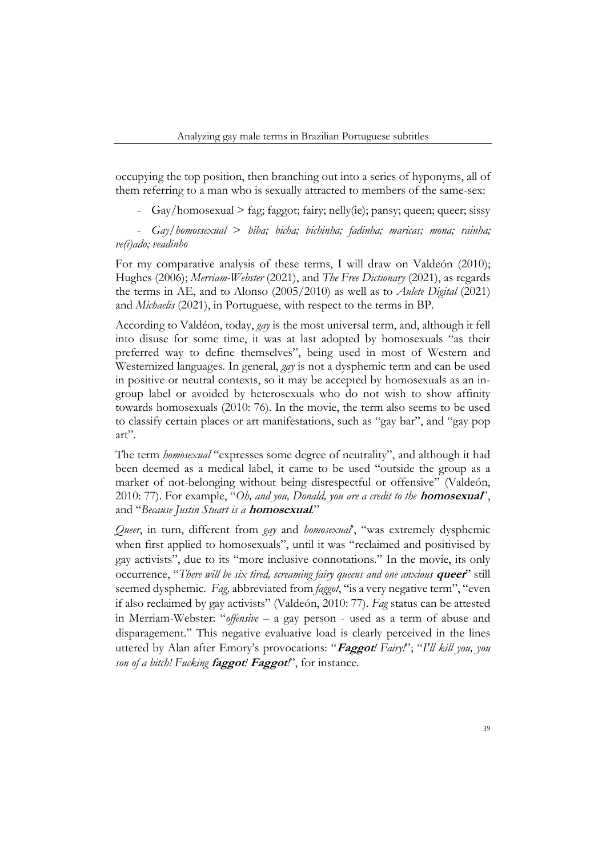occupying the top position, then branching out into a series of hyponyms, all of them referring to a man who is sexually attracted to members of the same-sex:

 $\frac{Gay}{homosexual}$  > fag; faggot; fairy; nelly(ie); pansy; queen; queer; sissy

- *Gay/homossexual* > *biba; bicha; bichinha; fadinha; maricas; mona; rainha; ve(i)ado; veadinho*

For my comparative analysis of these terms, I will draw on Valdeón (2010); Hughes (2006); *Merriam-Webster* (2021), and *The Free Dictionary* (2021), as regards the terms in AE, and to Alonso (2005/2010) as well as to *Aulete Digital* (2021) and *Michaelis* (2021), in Portuguese, with respect to the terms in BP.

According to Valdéon, today, *gay* is the most universal term, and, although it fell into disuse for some time, it was at last adopted by homosexuals "as their preferred way to define themselves", being used in most of Western and Westernized languages. In general, *gay* is not a dysphemic term and can be used in positive or neutral contexts, so it may be accepted by homosexuals as an ingroup label or avoided by heterosexuals who do not wish to show affinity towards homosexuals (2010: 76). In the movie, the term also seems to be used to classify certain places or art manifestations, such as "gay bar", and "gay pop art".

The term *homosexual* "expresses some degree of neutrality", and although it had been deemed as a medical label, it came to be used "outside the group as a marker of not-belonging without being disrespectful or offensive" (Valdeón, 2010: 77). For example, "*Oh, and you, Donald, you are a credit to the* **homosexual**", and "*Because Justin Stuart is a* **homosexual***.*"

*Queer*, in turn, different from *gay* and *homosexual*', "was extremely dysphemic when first applied to homosexuals", until it was "reclaimed and positivised by gay activists", due to its "more inclusive connotations." In the movie, its only occurrence, "*There will be six tired, screaming fairy queens and one anxious* **queer**" still seemed dysphemic. *Fag,* abbreviated from *faggot*, "is a very negative term", "even if also reclaimed by gay activists" (Valdeón, 2010: 77). *Fag* status can be attested in Merriam-Webster: "*offensive* – a gay person - used as a term of abuse and disparagement." This negative evaluative load is clearly perceived in the lines uttered by Alan after Emory's provocations: "**Faggot***! Fairy!*"; "*I'll kill you, you son of a bitch! Fucking* **faggot***!* **Faggot***!*", for instance.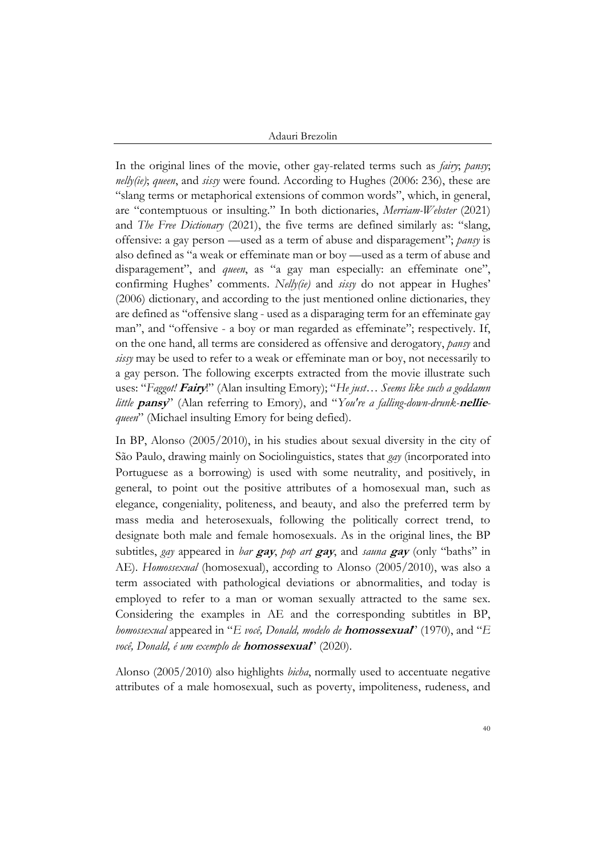In the original lines of the movie, other gay-related terms such as *fairy*; *pansy*; *nelly(ie)*; *queen*, and *sissy* were found. According to Hughes (2006: 236), these are "slang terms or metaphorical extensions of common words", which, in general, are "contemptuous or insulting." In both dictionaries, *Merriam-Webster* (2021) and *The Free Dictionary* (2021), the five terms are defined similarly as: "slang, offensive: a gay person —used as a term of abuse and disparagement"; *pansy* is also defined as "a weak or effeminate man or boy —used as a term of abuse and disparagement", and *queen*, as "a gay man especially: an effeminate one", confirming Hughes' comments. *Nelly(ie)* and *sissy* do not appear in Hughes' (2006) dictionary, and according to the just mentioned online dictionaries, they are defined as "offensive slang - used as a disparaging term for an effeminate gay man", and "offensive - a boy or man regarded as effeminate"; respectively. If, on the one hand, all terms are considered as offensive and derogatory, *pansy* and *sissy* may be used to refer to a weak or effeminate man or boy, not necessarily to a gay person. The following excerpts extracted from the movie illustrate such uses: "*Faggot!* **Fairy**!" (Alan insulting Emory); "*He just… Seems like such a goddamn little* **pansy**" (Alan referring to Emory), and "*You're a falling-down-drunk-***nellie***queen*" (Michael insulting Emory for being defied).

In BP, Alonso (2005/2010), in his studies about sexual diversity in the city of São Paulo, drawing mainly on Sociolinguistics, states that *gay* (incorporated into Portuguese as a borrowing) is used with some neutrality, and positively, in general, to point out the positive attributes of a homosexual man, such as elegance, congeniality, politeness, and beauty, and also the preferred term by mass media and heterosexuals, following the politically correct trend, to designate both male and female homosexuals. As in the original lines, the BP subtitles, *gay* appeared in *bar* **gay**, *pop art* **gay**, and *sauna* **gay** (only "baths" in AE). *Homossexual* (homosexual), according to Alonso (2005/2010), was also a term associated with pathological deviations or abnormalities, and today is employed to refer to a man or woman sexually attracted to the same sex. Considering the examples in AE and the corresponding subtitles in BP, *homossexual* appeared in "*E você, Donald, modelo de* **homossexual**" (1970), and "*E você, Donald, é um exemplo de* **homossexual**" (2020).

Alonso (2005/2010) also highlights *bicha*, normally used to accentuate negative attributes of a male homosexual, such as poverty, impoliteness, rudeness, and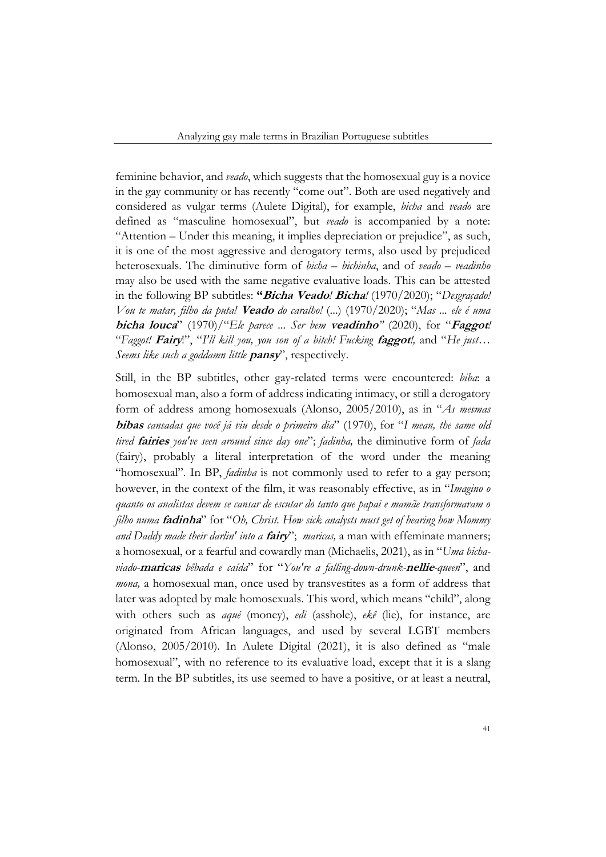feminine behavior, and *veado*, which suggests that the homosexual guy is a novice in the gay community or has recently "come out". Both are used negatively and considered as vulgar terms (Aulete Digital), for example, *bicha* and *veado* are defined as "masculine homosexual", but *veado* is accompanied by a note: "Attention – Under this meaning, it implies depreciation or prejudice", as such, it is one of the most aggressive and derogatory terms, also used by prejudiced heterosexuals. The diminutive form of *bicha – bichinha*, and of *veado – veadinho* may also be used with the same negative evaluative loads. This can be attested in the following BP subtitles: **"Bicha Veado***!* **Bicha***!* (1970/2020); "*Desgraçado! Vou te matar, filho da puta!* **Veado** *do caralho!* (...) (1970/2020); "*Mas ... ele é uma*  **bicha louca**" (1970)/"*Ele parece ... Ser bem* **veadinho***"* (2020), for "**Faggot***!* "*Faggot!* **Fairy**!", "*I'll kill you, you son of a bitch! Fucking* **faggot***!,* and "*He just… Seems like such a goddamn little* **pansy**", respectively.

Still, in the BP subtitles, other gay-related terms were encountered: *biba*: a homosexual man, also a form of address indicating intimacy, or still a derogatory form of address among homosexuals (Alonso, 2005/2010), as in "*As mesmas*  **bibas** *cansadas que você já viu desde o primeiro dia*" (1970), for "*I mean, the same old tired* **fairies** *you've seen around since day one*"; *fadinha,* the diminutive form of *fada* (fairy), probably a literal interpretation of the word under the meaning "homosexual". In BP, *fadinha* is not commonly used to refer to a gay person; however, in the context of the film, it was reasonably effective, as in "*Imagino o quanto os analistas devem se cansar de escutar do tanto que papai e mamãe transformaram o filho numa* **fadinha**" for "*Oh, Christ. How sick analysts must get of hearing how Mommy and Daddy made their darlin' into a* **fairy**"; *maricas,* a man with effeminate manners; a homosexual, or a fearful and cowardly man (Michaelis, 2021), as in "*Uma bichaviado-***maricas** *bêbada e caída*" for "*You're a falling-down-drunk-***nellie***-queen*", and *mona,* a homosexual man, once used by transvestites as a form of address that later was adopted by male homosexuals. This word, which means "child", along with others such as *aqué* (money), *edi* (asshole), *ekê* (lie), for instance, are originated from African languages, and used by several LGBT members (Alonso, 2005/2010). In Aulete Digital (2021), it is also defined as "male homosexual", with no reference to its evaluative load, except that it is a slang term. In the BP subtitles, its use seemed to have a positive, or at least a neutral,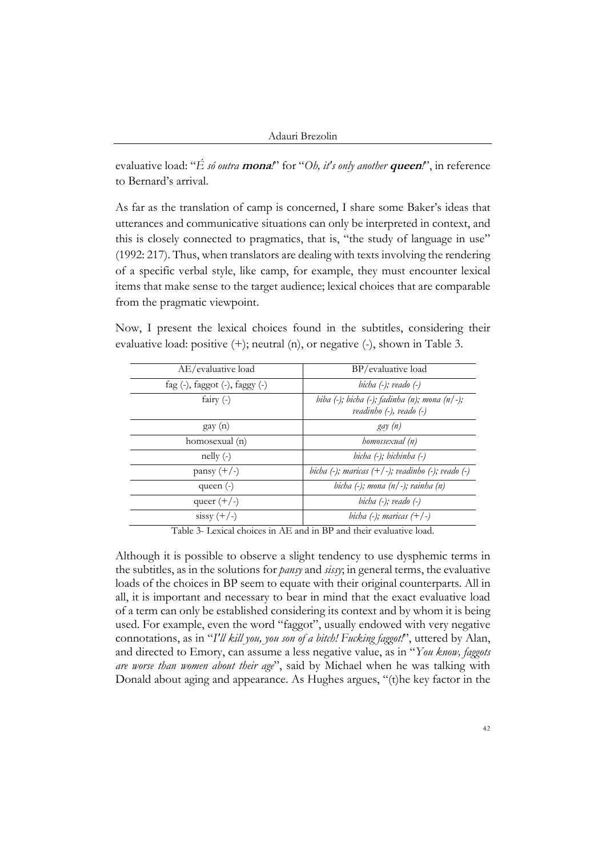```
Adauri Brezolin
```
evaluative load: "*É só outra* **mona***!*" for "*Oh, it's only another* **queen***!*", in reference to Bernard's arrival.

As far as the translation of camp is concerned, I share some Baker's ideas that utterances and communicative situations can only be interpreted in context, and this is closely connected to pragmatics, that is, "the study of language in use" (1992: 217). Thus, when translators are dealing with texts involving the rendering of a specific verbal style, like camp, for example, they must encounter lexical items that make sense to the target audience; lexical choices that are comparable from the pragmatic viewpoint.

Now, I present the lexical choices found in the subtitles, considering their evaluative load: positive (+); neutral (n), or negative (-), shown in Table 3.

| AE/evaluative load                     | BP/evaluative load                                                                   |
|----------------------------------------|--------------------------------------------------------------------------------------|
| fag $(-)$ , faggot $(-)$ , faggy $(-)$ | bicha $(-)$ ; veado $(-)$                                                            |
| fairy $(-)$                            | biba $(-)$ ; bicha $(-)$ ; fadinha $(n)$ ; mona $(n/-)$ ;<br>veadinho (-), veado (-) |
| $\gamma$ gay $(n)$                     | gay (n)                                                                              |
| homosexual (n)                         | homossexual (n)                                                                      |
| $\text{nelly } (-)$                    | bicha (-); bichinha (-)                                                              |
| pansy $(+/-)$                          | bicha (-); maricas $(+/-)$ ; veadinho $(-)$ ; veado $(-)$                            |
| queen $(-)$                            | bicha $(-)$ ; mona $(n/-)$ ; rainha $(n)$                                            |
| queer $(+/-)$                          | bicha $(-)$ ; veado $(-)$                                                            |
| $sissy (+/-)$                          | bicha $(-)$ ; maricas $(+/-)$                                                        |

Table 3- Lexical choices in AE and in BP and their evaluative load.

Although it is possible to observe a slight tendency to use dysphemic terms in the subtitles, as in the solutions for *pansy* and *sissy*; in general terms, the evaluative loads of the choices in BP seem to equate with their original counterparts. All in all, it is important and necessary to bear in mind that the exact evaluative load of a term can only be established considering its context and by whom it is being used. For example, even the word "faggot", usually endowed with very negative connotations, as in "*I'll kill you, you son of a bitch! Fucking faggot!*", uttered by Alan, and directed to Emory, can assume a less negative value, as in "*You know, faggots are worse than women about their age*", said by Michael when he was talking with Donald about aging and appearance. As Hughes argues, "(t)he key factor in the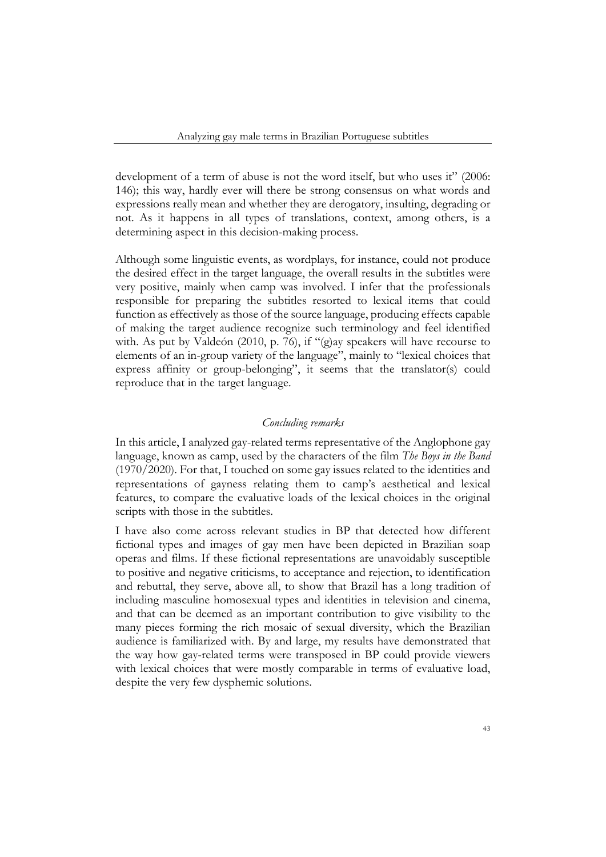development of a term of abuse is not the word itself, but who uses it" (2006: 146); this way, hardly ever will there be strong consensus on what words and expressions really mean and whether they are derogatory, insulting, degrading or not. As it happens in all types of translations, context, among others, is a determining aspect in this decision-making process.

Although some linguistic events, as wordplays, for instance, could not produce the desired effect in the target language, the overall results in the subtitles were very positive, mainly when camp was involved. I infer that the professionals responsible for preparing the subtitles resorted to lexical items that could function as effectively as those of the source language, producing effects capable of making the target audience recognize such terminology and feel identified with. As put by Valdeón (2010, p. 76), if "(g)ay speakers will have recourse to elements of an in-group variety of the language", mainly to "lexical choices that express affinity or group-belonging", it seems that the translator(s) could reproduce that in the target language.

# *Concluding remarks*

In this article, I analyzed gay-related terms representative of the Anglophone gay language, known as camp, used by the characters of the film *The Boys in the Band* (1970/2020). For that, I touched on some gay issues related to the identities and representations of gayness relating them to camp's aesthetical and lexical features, to compare the evaluative loads of the lexical choices in the original scripts with those in the subtitles.

I have also come across relevant studies in BP that detected how different fictional types and images of gay men have been depicted in Brazilian soap operas and films. If these fictional representations are unavoidably susceptible to positive and negative criticisms, to acceptance and rejection, to identification and rebuttal, they serve, above all, to show that Brazil has a long tradition of including masculine homosexual types and identities in television and cinema, and that can be deemed as an important contribution to give visibility to the many pieces forming the rich mosaic of sexual diversity, which the Brazilian audience is familiarized with. By and large, my results have demonstrated that the way how gay-related terms were transposed in BP could provide viewers with lexical choices that were mostly comparable in terms of evaluative load, despite the very few dysphemic solutions.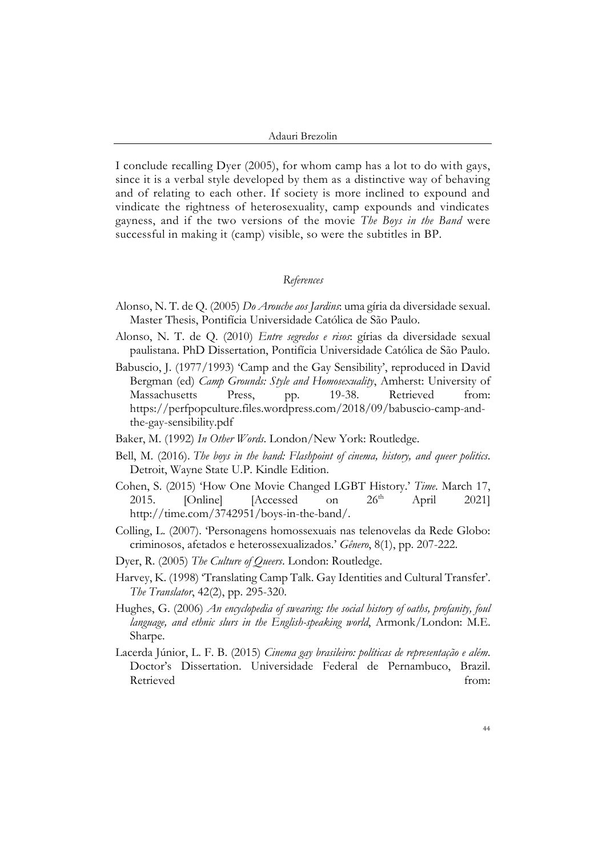I conclude recalling Dyer (2005), for whom camp has a lot to do with gays, since it is a verbal style developed by them as a distinctive way of behaving and of relating to each other. If society is more inclined to expound and vindicate the rightness of heterosexuality, camp expounds and vindicates gayness, and if the two versions of the movie *The Boys in the Band* were successful in making it (camp) visible, so were the subtitles in BP.

## *References*

- Alonso, N. T. de Q. (2005) *Do Arouche aos Jardins*: uma gíria da diversidade sexual. Master Thesis, Pontifícia Universidade Católica de São Paulo.
- Alonso, N. T. de Q. (2010) *Entre segredos e risos*: gírias da diversidade sexual paulistana. PhD Dissertation, Pontifícia Universidade Católica de São Paulo.
- Babuscio, J. (1977/1993) 'Camp and the Gay Sensibility', reproduced in David Bergman (ed) *Camp Grounds: Style and Homosexuality*, Amherst: University of Massachusetts Press, pp. 19-38. Retrieved from: https://perfpopculture.files.wordpress.com/2018/09/babuscio-camp-andthe-gay-sensibility.pdf
- Baker, M. (1992) *In Other Words*. London/New York: Routledge.
- Bell, M. (2016). *The boys in the band: Flashpoint of cinema, history, and queer politics*. Detroit, Wayne State U.P. Kindle Edition.
- Cohen, S. (2015) 'How One Movie Changed LGBT History.' *Time*. March 17, 2015. [Online] [Accessed on  $26<sup>th</sup>$  April 2021] http://time.com/3742951/boys-in-the-band/.
- Colling, L. (2007). 'Personagens homossexuais nas telenovelas da Rede Globo: criminosos, afetados e heterossexualizados.' *Gênero*, 8(1), pp. 207-222.
- Dyer, R. (2005) *The Culture of Queers*. London: Routledge.
- Harvey, K. (1998) 'Translating Camp Talk. Gay Identities and Cultural Transfer'. *The Translator*, 42(2), pp. 295-320.
- Hughes, G. (2006) *An encyclopedia of swearing: the social history of oaths, profanity, foul language, and ethnic slurs in the English-speaking world*, Armonk/London: M.E. Sharpe.
- Lacerda Júnior, L. F. B. (2015) *Cinema gay brasileiro: políticas de representação e além*. Doctor's Dissertation. Universidade Federal de Pernambuco, Brazil. Retrieved from: